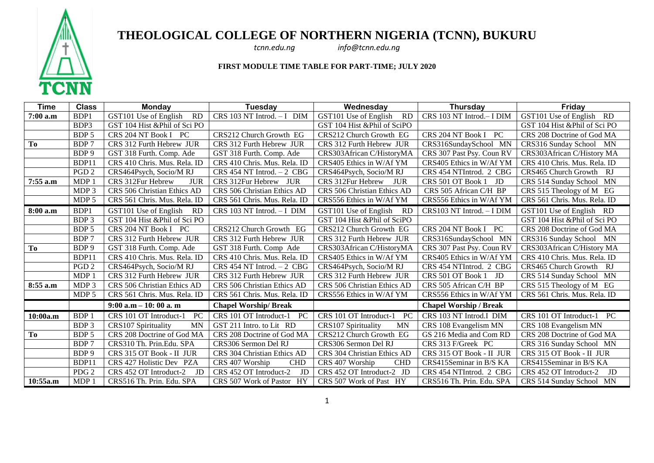

## **THEOLOGICAL COLLEGE OF NORTHERN NIGERIA (TCNN), BUKURU**

*tcnn.edu.ng info@tcnn.edu.ng*

## **FIRST MODULE TIME TABLE FOR PART-TIME; JULY 2020**

| <b>Time</b> | <b>Class</b>     | <b>Monday</b>                      | Tuesday                       | Wednesday                          | <b>Thursday</b>               | Friday                        |
|-------------|------------------|------------------------------------|-------------------------------|------------------------------------|-------------------------------|-------------------------------|
| 7:00 a.m    | B <sub>DP1</sub> | GST101 Use of English<br><b>RD</b> | CRS 103 NT Introd. - I DIM    | GST101 Use of English<br><b>RD</b> | CRS 103 NT Introd.- I DIM     | GST101 Use of English RD      |
|             | BDP3             | GST 104 Hist &Phil of Sci PO       |                               | GST 104 Hist &Phil of SciPO        |                               | GST 104 Hist &Phil of Sci PO  |
|             | BDP 5            | CRS 204 NT Book I PC               | CRS212 Church Growth EG       | CRS212 Church Growth EG            | PC<br>CRS 204 NT Book I       | CRS 208 Doctrine of God MA    |
| To          | BDP 7            | CRS 312 Furth Hebrew JUR           | CRS 312 Furth Hebrew JUR      | CRS 312 Furth Hebrew JUR           | CRS316SundaySchool MN         | CRS316 Sunday School MN       |
|             | BDP 9            | GST 318 Furth. Comp. Ade           | GST 318 Furth. Comp. Ade      | CRS303African C/HistoryMA          | CRS 307 Past Psy. Coun RV     | CRS303African C/History MA    |
|             | BDP11            | CRS 410 Chris. Mus. Rela. ID       | CRS 410 Chris. Mus. Rela. ID  | CRS405 Ethics in W/Af YM           | CRS405 Ethics in W/Af YM      | CRS 410 Chris. Mus. Rela. ID  |
|             | PGD <sub>2</sub> | CRS464Psych, Socio/M RJ            | CRS 454 NT Introd. $-2$ CBG   | CRS464Psych, Socio/M RJ            | CRS 454 NTIntrod. 2 CBG       | CRS465 Church Growth RJ       |
| 7:55 a.m    | MDP 1            | <b>JUR</b><br>CRS 312Fur Hebrew    | CRS 312Fur Hebrew JUR         | CRS 312Fur Hebrew<br><b>JUR</b>    | JD<br>CRS 501 OT Book 1       | CRS 514 Sunday School MN      |
|             | MDP <sub>3</sub> | CRS 506 Christian Ethics AD        | CRS 506 Christian Ethics AD   | CRS 506 Christian Ethics AD        | CRS 505 African C/H BP        | CRS 515 Theology of M EG      |
|             | MDP <sub>5</sub> | CRS 561 Chris. Mus. Rela. ID       | CRS 561 Chris. Mus. Rela. ID  | CRS556 Ethics in W/Af YM           | CRS556 Ethics in W/Af YM      | CRS 561 Chris. Mus. Rela. ID  |
| 8:00 a.m    | BDP1             | GST101 Use of English<br><b>RD</b> | CRS 103 NT Introd. - I DIM    | GST101 Use of English<br>-RD       | CRS103 NT Introd. - I DIM     | GST101 Use of English RD      |
|             | BDP 3            | GST 104 Hist & Phil of Sci PO      |                               | GST 104 Hist & Phil of SciPO       |                               | GST 104 Hist & Phil of Sci PO |
|             | BDP 5            | CRS 204 NT Book I PC               | CRS212 Church Growth EG       | CRS212 Church Growth EG            | CRS 204 NT Book I<br>PC       | CRS 208 Doctrine of God MA    |
|             | BDP 7            | CRS 312 Furth Hebrew JUR           | CRS 312 Furth Hebrew JUR      | CRS 312 Furth Hebrew JUR           | CRS316SundaySchool MN         | CRS316 Sunday School MN       |
| <b>To</b>   | BDP 9            | GST 318 Furth. Comp. Ade           | GST 318 Furth. Comp Ade       | CRS303African C/HistoryMA          | CRS 307 Past Psy. Coun RV     | CRS303African C/History MA    |
|             | BDP11            | CRS 410 Chris. Mus. Rela. ID       | CRS 410 Chris. Mus. Rela. ID  | CRS405 Ethics in W/Af YM           | CRS405 Ethics in W/Af YM      | CRS 410 Chris. Mus. Rela. ID  |
|             | PGD <sub>2</sub> | CRS464Psych, Socio/M RJ            | CRS 454 NT Introd. - 2 CBG    | CRS464Psych, Socio/M RJ            | CRS 454 NTIntrod. 2 CBG       | CRS465 Church Growth RJ       |
|             | MDP 1            | CRS 312 Furth Hebrew JUR           | CRS 312 Furth Hebrew JUR      | CRS 312 Furth Hebrew JUR           | CRS 501 OT Book 1 JD          | CRS 514 Sunday School MN      |
| 8:55 a.m    | MDP 3            | CRS 506 Christian Ethics AD        | CRS 506 Christian Ethics AD   | CRS 506 Christian Ethics AD        | CRS 505 African C/H BP        | CRS 515 Theology of M EG      |
|             | MDP 5            | CRS 561 Chris. Mus. Rela. ID       | CRS 561 Chris. Mus. Rela. ID  | CRS556 Ethics in W/Af YM           | CRS556 Ethics in W/Af YM      | CRS 561 Chris. Mus. Rela. ID  |
|             |                  | $9:00$ a.m $-10:00$ a.m            | <b>Chapel Worship/Break</b>   |                                    | <b>Chapel Worship / Break</b> |                               |
| 10:00a.m    | BDP 1            | CRS 101 OT Introduct-1<br>PC       | CRS 101 OT Introduct-1<br>PC  | CRS 101 OT Introduct-1<br>PC       | CRS 103 NT Introd.I DIM       | CRS 101 OT Introduct-1<br>PC  |
|             | BDP 3            | <b>MN</b><br>CRS107 Spirituality   | GST 211 Intro. to Lit RD      | CRS107 Spirituality<br><b>MN</b>   | CRS 108 Evangelism MN         | CRS 108 Evangelism MN         |
| To          | BDP 5            | CRS 208 Doctrine of God MA         | CRS 208 Doctrine of God MA    | CRS212 Church Growth EG            | GS 216 Media and Com RD       | CRS 208 Doctrine of God MA    |
|             | BDP 7            | CRS310 Th. Prin.Edu. SPA           | CRS306 Sermon Del RJ          | CRS306 Sermon Del RJ               | CRS 313 F/Greek PC            | CRS 316 Sunday School MN      |
|             | BDP 9            | CRS 315 OT Book - II JUR           | CRS 304 Christian Ethics AD   | CRS 304 Christian Ethics AD        | CRS 315 OT Book - II JUR      | CRS 315 OT Book - II JUR      |
|             | BDP11            | CRS 427 Holistic Dev PZA           | CRS 407 Worship<br><b>CHD</b> | <b>CHD</b><br>CRS 407 Worship      | CRS415Seminar in B/S KA       | CRS415Seminar in B/S KA       |
|             | PDG <sub>2</sub> | JD<br>CRS 452 OT Introduct-2       | CRS 452 OT Introduct-2<br>JD  | CRS 452 OT Introduct-2 JD          | CRS 454 NTIntrod. 2 CBG       | CRS 452 OT Introduct-2<br>JD  |
| 10:55a.m    | MDP 1            | CRS516 Th. Prin. Edu. SPA          | CRS 507 Work of Pastor HY     | CRS 507 Work of Past HY            | CRS516 Th. Prin. Edu. SPA     | CRS 514 Sunday School MN      |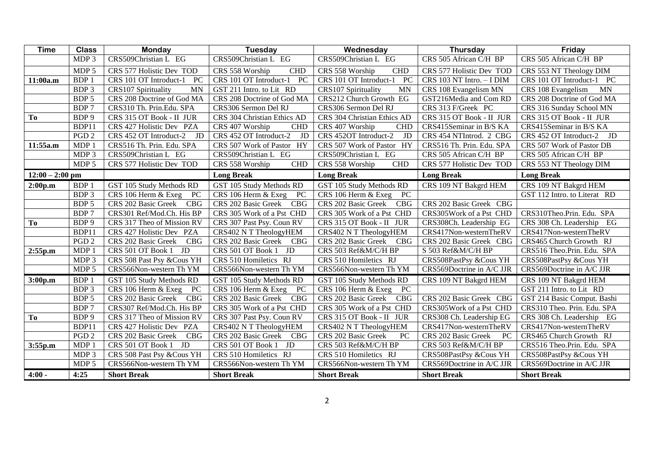| <b>Time</b>       | <b>Class</b>     | <b>Monday</b>                           | Tuesday                           | Wednesday                           | Thursday                  | Friday                          |
|-------------------|------------------|-----------------------------------------|-----------------------------------|-------------------------------------|---------------------------|---------------------------------|
|                   | MDP 3            | CRS509Christian L EG                    | CRS509Christian L EG              | CRS509Christian L EG                | CRS 505 African C/H BP    | CRS 505 African C/H BP          |
|                   | MDP <sub>5</sub> | CRS 577 Holistic Dev TOD                | CRS 558 Worship<br><b>CHD</b>     | <b>CHD</b><br>CRS 558 Worship       | CRS 577 Holistic Dev TOD  | CRS 553 NT Theology DIM         |
| 11:00a.m          | BDP 1            | CRS 101 OT Introduct-1<br>PC            | PC<br>CRS 101 OT Introduct-1      | CRS 101 OT Introduct-1<br><b>PC</b> | CRS 103 NT Intro. - I DIM | CRS 101 OT Introduct-1 PC       |
|                   | BDP <sub>3</sub> | <b>MN</b><br><b>CRS107 Spirituality</b> | GST 211 Intro. to Lit RD          | <b>MN</b><br>CRS107 Spirituality    | CRS 108 Evangelism MN     | CRS 108 Evangelism<br><b>MN</b> |
|                   | BDP 5            | CRS 208 Doctrine of God MA              | CRS 208 Doctrine of God MA        | CRS212 Church Growth EG             | GST216Media and Com RD    | CRS 208 Doctrine of God MA      |
|                   | BDP 7            | CRS310 Th. Prin.Edu. SPA                | CRS306 Sermon Del RJ              | CRS306 Sermon Del RJ                | CRS 313 F/Greek PC        | CRS 316 Sunday School MN        |
| To                | BDP <sub>9</sub> | CRS 315 OT Book - II JUR                | CRS 304 Christian Ethics AD       | CRS 304 Christian Ethics AD         | CRS 315 OT Book - II JUR  | CRS 315 OT Book - II JUR        |
|                   | BDP11            | CRS 427 Holistic Dev PZA                | CRS 407 Worship<br><b>CHD</b>     | CRS 407 Worship<br><b>CHD</b>       | CRS415Seminar in B/S KA   | CRS415Seminar in B/S KA         |
|                   | PGD <sub>2</sub> | CRS 452 OT Introduct-2<br>JD            | CRS 452 OT Introduct-2<br>JD      | CRS 452OT Introduct-2<br>JD         | CRS 454 NTIntrod. 2 CBG   | CRS 452 OT Introduct-2<br>JD    |
| 11:55a.m          | MDP 1            | CRS516 Th. Prin. Edu. SPA               | HY<br>CRS 507 Work of Pastor      | CRS 507 Work of Pastor<br>HY        | CRS516 Th. Prin. Edu. SPA | CRS 507 Work of Pastor DB       |
|                   | MDP 3            | CRS509Christian L EG                    | CRS509Christian L EG              | CRS509Christian L EG                | CRS 505 African C/H BP    | CRS 505 African C/H BP          |
|                   | MDP 5            | CRS 577 Holistic Dev TOD                | <b>CHD</b><br>CRS 558 Worship     | CRS 558 Worship<br><b>CHD</b>       | CRS 577 Holistic Dev TOD  | CRS 553 NT Theology DIM         |
| $12:00 - 2:00$ pm |                  |                                         | <b>Long Break</b>                 | <b>Long Break</b>                   | <b>Long Break</b>         | <b>Long Break</b>               |
| 2:00p.m           | <b>BDP1</b>      | GST 105 Study Methods RD                | GST 105 Study Methods RD          | GST 105 Study Methods RD            | CRS 109 NT Bakgrd HEM     | CRS 109 NT Bakgrd HEM           |
|                   | BDP <sub>3</sub> | CRS 106 Herm & Exeg<br>PC               | CRS 106 Herm & Exeg<br>PC         | PC<br>CRS 106 Herm & Exeg           |                           | GST 112 Intro. to Literat RD    |
|                   | BDP 5            | CRS 202 Basic Greek<br>CBG              | CBG<br>CRS 202 Basic Greek        | <b>CBG</b><br>CRS 202 Basic Greek   | CRS 202 Basic Greek CBG   |                                 |
|                   | BDP 7            | CRS301 Ref/Mod.Ch. His BP               | CRS 305 Work of a Pst CHD         | CRS 305 Work of a Pst CHD           | CRS305Work of a Pst CHD   | CRS310Theo.Prin. Edu. SPA       |
| To                | BDP <sub>9</sub> | CRS 317 Theo of Mission RV              | CRS 307 Past Psy. Coun RV         | CRS 315 OT Book - II JUR            | CRS308Ch. Leadership EG   | CRS 308 Ch. Leadership EG       |
|                   | BDP11            | CRS 427 Holistic Dev PZA                | CRS402 N T TheologyHEM            | CRS402 N T TheologyHEM              | CRS417Non-westernTheRV    | CRS417Non-westernTheRV          |
|                   | PGD <sub>2</sub> | CRS 202 Basic Greek<br>CBG              | CRS 202 Basic Greek<br><b>CBG</b> | CRS 202 Basic Greek<br>CBG          | CRS 202 Basic Greek CBG   | CRS465 Church Growth RJ         |
| 2:55p.m           | MDP 1            | JD<br>CRS 501 OT Book 1                 | JD<br>CRS 501 OT Book 1           | CRS 503 Ref&M/C/H BP                | S 503 Ref&M/C/H BP        | CRS516 Theo.Prin. Edu. SPA      |
|                   | MDP <sub>3</sub> | CRS 508 Past Psy &Cous YH               | CRS 510 Homiletics RJ             | CRS 510 Homiletics RJ               | CRS508PastPsy &Cous YH    | CRS508PastPsy &Cous YH          |
|                   | MDP <sub>5</sub> | CRS566Non-western Th YM                 | CRS566Non-western Th YM           | CRS566Non-western Th YM             | CRS569Doctrine in A/C JJR | CRS569Doctrine in A/C JJR       |
| 3:00p.m           | <b>BDP1</b>      | GST 105 Study Methods RD                | GST 105 Study Methods RD          | GST 105 Study Methods RD            | CRS 109 NT Bakgrd HEM     | CRS 109 NT Bakgrd HEM           |
|                   | BDP 3            | CRS 106 Herm & Exeg<br>PC               | PC<br>CRS 106 Herm & Exeg         | CRS 106 Herm & Exeg<br>PC           |                           | GST 211 Intro. to Lit RD        |
|                   | BDP 5            | CRS 202 Basic Greek<br><b>CBG</b>       | CRS 202 Basic Greek<br><b>CBG</b> | CRS 202 Basic Greek<br><b>CBG</b>   | CRS 202 Basic Greek CBG   | GST 214 Basic Comput. Bashi     |
|                   | BDP 7            | CRS307 Ref/Mod.Ch. His BP               | CRS 305 Work of a Pst CHD         | CRS 305 Work of a Pst CHD           | CRS305Work of a Pst CHD   | CRS310 Theo. Prin. Edu. SPA     |
| To                | BDP <sub>9</sub> | CRS 317 Theo of Mission RV              | CRS 307 Past Psy. Coun RV         | CRS 315 OT Book - II JUR            | CRS308 Ch. Leadership EG  | CRS 308 Ch. Leadership EG       |
|                   | BDP11            | CRS 427 Holistic Dev PZA                | CRS402 N T TheologyHEM            | CRS402 N T TheologyHEM              | CRS417Non-westernTheRV    | CRS417Non-westernTheRV          |
|                   | PGD <sub>2</sub> | CRS 202 Basic Greek<br>CBG              | CRS 202 Basic Greek<br>CBG        | CRS 202 Basic Greek<br>PC           | CRS 202 Basic Greek<br>PC | CRS465 Church Growth RJ         |
| 3:55p.m           | MDP 1            | CRS 501 OT Book 1<br>JD                 | CRS 501 OT Book 1<br>JD           | CRS 503 Ref&M/C/H BP                | CRS 503 Ref&M/C/H BP      | CRS516 Theo.Prin. Edu. SPA      |
|                   | MDP <sub>3</sub> | CRS 508 Past Psy &Cous YH               | CRS 510 Homiletics RJ             | CRS 510 Homiletics RJ               | CRS508PastPsy &Cous YH    | CRS508PastPsy &Cous YH          |
|                   | MDP <sub>5</sub> | CRS566Non-western Th YM                 | CRS566Non-western Th YM           | CRS566Non-western Th YM             | CRS569Doctrine in A/C JJR | CRS569Doctrine in A/C JJR       |
| $4:00 -$          | 4:25             | <b>Short Break</b>                      | <b>Short Break</b>                | <b>Short Break</b>                  | <b>Short Break</b>        | <b>Short Break</b>              |